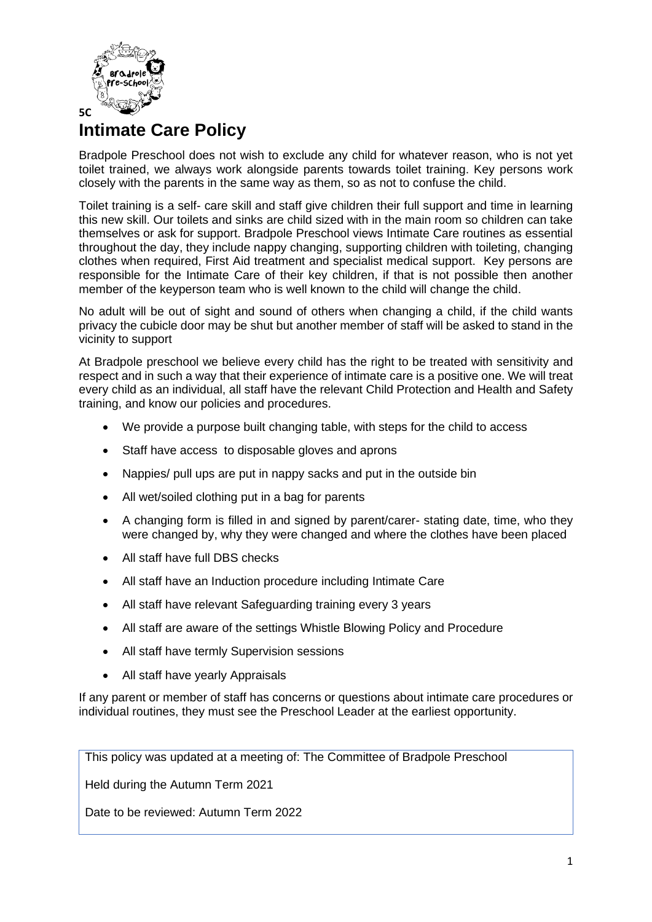

## **Intimate Care Policy**

Bradpole Preschool does not wish to exclude any child for whatever reason, who is not yet toilet trained, we always work alongside parents towards toilet training. Key persons work closely with the parents in the same way as them, so as not to confuse the child.

Toilet training is a self- care skill and staff give children their full support and time in learning this new skill. Our toilets and sinks are child sized with in the main room so children can take themselves or ask for support. Bradpole Preschool views Intimate Care routines as essential throughout the day, they include nappy changing, supporting children with toileting, changing clothes when required, First Aid treatment and specialist medical support. Key persons are responsible for the Intimate Care of their key children, if that is not possible then another member of the keyperson team who is well known to the child will change the child.

No adult will be out of sight and sound of others when changing a child, if the child wants privacy the cubicle door may be shut but another member of staff will be asked to stand in the vicinity to support

At Bradpole preschool we believe every child has the right to be treated with sensitivity and respect and in such a way that their experience of intimate care is a positive one. We will treat every child as an individual, all staff have the relevant Child Protection and Health and Safety training, and know our policies and procedures.

- We provide a purpose built changing table, with steps for the child to access
- Staff have access to disposable gloves and aprons
- Nappies/ pull ups are put in nappy sacks and put in the outside bin
- All wet/soiled clothing put in a bag for parents
- A changing form is filled in and signed by parent/carer- stating date, time, who they were changed by, why they were changed and where the clothes have been placed
- All staff have full DBS checks
- All staff have an Induction procedure including Intimate Care
- All staff have relevant Safeguarding training every 3 years
- All staff are aware of the settings Whistle Blowing Policy and Procedure
- All staff have termly Supervision sessions
- All staff have yearly Appraisals

If any parent or member of staff has concerns or questions about intimate care procedures or individual routines, they must see the Preschool Leader at the earliest opportunity.

This policy was updated at a meeting of: The Committee of Bradpole Preschool

Held during the Autumn Term 2021

Date to be reviewed: Autumn Term 2022